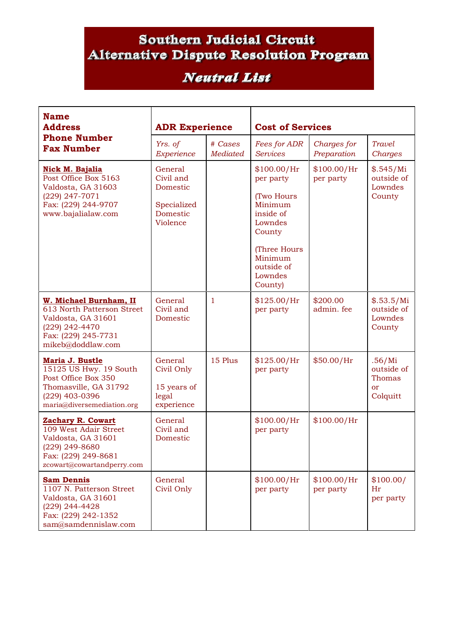## **Southern Judicial Circuit** Alternative Dispute Resolution Program

## **Neutral List**

| <b>Name</b><br><b>Address</b><br><b>Phone Number</b><br><b>Fax Number</b>                                                                      | <b>ADR Experience</b>                                                   |                            | <b>Cost of Services</b>                                                                                                                            |                            |                                                             |  |
|------------------------------------------------------------------------------------------------------------------------------------------------|-------------------------------------------------------------------------|----------------------------|----------------------------------------------------------------------------------------------------------------------------------------------------|----------------------------|-------------------------------------------------------------|--|
|                                                                                                                                                | Yrs. of<br>Experience                                                   | # Cases<br><b>Mediated</b> | Fees for ADR<br><b>Services</b>                                                                                                                    | Charges for<br>Preparation | Travel<br>Charges                                           |  |
| Nick M. Bajalia<br>Post Office Box 5163<br>Valdosta, GA 31603<br>(229) 247-7071<br>Fax: (229) 244-9707<br>www.bajalialaw.com                   | General<br>Civil and<br>Domestic<br>Specialized<br>Domestic<br>Violence |                            | \$100.00/Hr<br>per party<br>(Two Hours<br>Minimum<br>inside of<br>Lowndes<br>County<br>(Three Hours<br>Minimum<br>outside of<br>Lowndes<br>County) | \$100.00/Hr<br>per party   | \$.545/Mi<br>outside of<br>Lowndes<br>County                |  |
| W. Michael Burnham, II<br>613 North Patterson Street<br>Valdosta, GA 31601<br>(229) 242-4470<br>Fax: (229) 245-7731<br>mikeb@doddlaw.com       | General<br>Civil and<br>Domestic                                        | 1                          | \$125.00/Hr<br>per party                                                                                                                           | \$200.00<br>admin. fee     | \$.53.5/Mi<br>outside of<br>Lowndes<br>County               |  |
| Maria J. Bustle<br>15125 US Hwy. 19 South<br>Post Office Box 350<br>Thomasville, GA 31792<br>(229) 403-0396<br>maria@diversemediation.org      | General<br>Civil Only<br>15 years of<br>legal<br>experience             | 15 Plus                    | \$125.00/Hr<br>per party                                                                                                                           | \$50.00/Hr                 | .56/Mi<br>outside of<br>Thomas<br><sub>or</sub><br>Colquitt |  |
| <b>Zachary R. Cowart</b><br>109 West Adair Street<br>Valdosta, GA 31601<br>(229) 249-8680<br>Fax: (229) 249-8681<br>zcowart@cowartandperry.com | General<br>Civil and<br>Domestic                                        |                            | \$100.00/Hr<br>per party                                                                                                                           | \$100.00/Hr                |                                                             |  |
| <b>Sam Dennis</b><br>1107 N. Patterson Street<br>Valdosta, GA 31601<br>(229) 244-4428<br>Fax: (229) 242-1352<br>sam@samdennislaw.com           | General<br>Civil Only                                                   |                            | $$100.00/$ Hr<br>per party                                                                                                                         | \$100.00/Hr<br>per party   | \$100.00/<br>Hr<br>per party                                |  |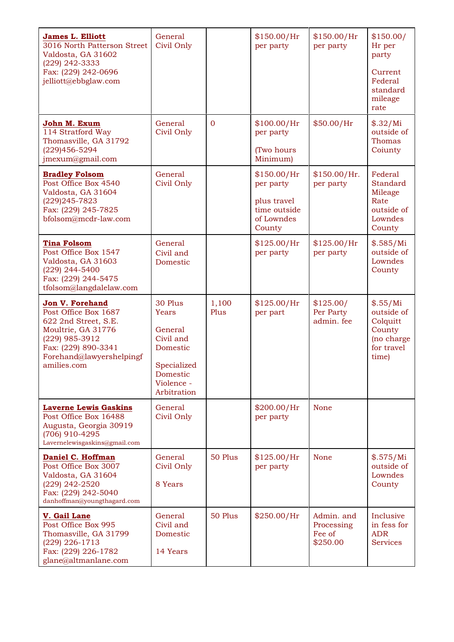| <b>James L. Elliott</b><br>3016 North Patterson Street<br>Valdosta, GA 31602<br>(229) 242-3333<br>Fax: (229) 242-0696<br>jelliott@ebbglaw.com                                    | General<br>Civil Only                                                                                        |                | \$150.00/Hr<br>per party                                                        | \$150.00/Hr<br>per party                       | \$150.00/<br>Hr per<br>party<br>Current<br>Federal<br>standard<br>mileage<br>rate |
|----------------------------------------------------------------------------------------------------------------------------------------------------------------------------------|--------------------------------------------------------------------------------------------------------------|----------------|---------------------------------------------------------------------------------|------------------------------------------------|-----------------------------------------------------------------------------------|
| John M. Exum<br>114 Stratford Way<br>Thomasville, GA 31792<br>(229) 456-5294<br>jmexum@gmail.com                                                                                 | General<br>Civil Only                                                                                        | $\overline{0}$ | \$100.00/Hr<br>per party<br>(Two hours<br>Minimum)                              | \$50.00/Hr                                     | \$.32/Mi<br>outside of<br><b>Thomas</b><br>Coiunty                                |
| <b>Bradley Folsom</b><br>Post Office Box 4540<br>Valdosta, GA 31604<br>(229) 245-7823<br>Fax: (229) 245-7825<br>bfolsom@mcdr-law.com                                             | General<br>Civil Only                                                                                        |                | \$150.00/Hr<br>per party<br>plus travel<br>time outside<br>of Lowndes<br>County | \$150.00/Hr.<br>per party                      | Federal<br><b>Standard</b><br>Mileage<br>Rate<br>outside of<br>Lowndes<br>County  |
| <b>Tina Folsom</b><br>Post Office Box 1547<br>Valdosta, GA 31603<br>(229) 244-5400<br>Fax: (229) 244-5475<br>tfolsom@langdalelaw.com                                             | General<br>Civil and<br>Domestic                                                                             |                | \$125.00/Hr<br>per party                                                        | \$125.00/Hr<br>per party                       | \$.585/Mi<br>outside of<br>Lowndes<br>County                                      |
| <b>Jon V. Forehand</b><br>Post Office Box 1687<br>622 2nd Street, S.E.<br>Moultrie, GA 31776<br>(229) 985-3912<br>Fax: (229) 890-3341<br>Forehand@lawyershelpingf<br>amilies.com | 30 Plus<br>Years<br>General<br>Civil and<br>Domestic<br>Specialized<br>Domestic<br>Violence -<br>Arbitration | 1,100<br>Plus  | \$125.00/Hr<br>per part                                                         | \$125.00/<br>Per Party<br>admin. fee           | \$.55/Mi<br>outside of<br>Colquitt<br>County<br>(no charge<br>for travel<br>time) |
| <b>Laverne Lewis Gaskins</b><br>Post Office Box 16488<br>Augusta, Georgia 30919<br>(706) 910-4295<br>Lavernelewisgaskins@gmail.com                                               | General<br>Civil Only                                                                                        |                | \$200.00/Hr<br>per party                                                        | None                                           |                                                                                   |
| Daniel C. Hoffman<br>Post Office Box 3007<br>Valdosta, GA 31604<br>(229) 242-2520<br>Fax: (229) 242-5040<br>danhoffman@youngthagard.com                                          | General<br>Civil Only<br>8 Years                                                                             | 50 Plus        | \$125.00/Hr<br>per party                                                        | None                                           | \$.575/Mi<br>outside of<br>Lowndes<br>County                                      |
| V. Gail Lane<br>Post Office Box 995<br>Thomasville, GA 31799<br>(229) 226-1713<br>Fax: (229) 226-1782<br>glane@altmanlane.com                                                    | General<br>Civil and<br>Domestic<br>14 Years                                                                 | 50 Plus        | \$250.00/Hr                                                                     | Admin. and<br>Processing<br>Fee of<br>\$250.00 | Inclusive<br>in fess for<br><b>ADR</b><br><b>Services</b>                         |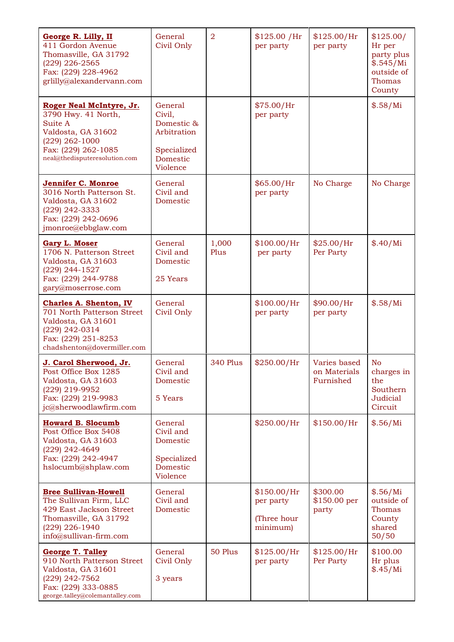| <b>George R. Lilly, II</b><br>411 Gordon Avenue<br>Thomasville, GA 31792<br>$(229)$ 226-2565<br>Fax: (229) 228-4962<br>grlilly@alexandervann.com           | General<br>Civil Only                                                                 | $\overline{2}$ | \$125.00 / Hr<br>per party                          | \$125.00/Hr<br>per party                  | \$125.00/<br>Hr per<br>party plus<br>\$.545/Mi<br>outside of<br><b>Thomas</b><br>County |
|------------------------------------------------------------------------------------------------------------------------------------------------------------|---------------------------------------------------------------------------------------|----------------|-----------------------------------------------------|-------------------------------------------|-----------------------------------------------------------------------------------------|
| Roger Neal McIntyre, Jr.<br>3790 Hwy. 41 North,<br>Suite A<br>Valdosta, GA 31602<br>(229) 262-1000<br>Fax: (229) 262-1085<br>neal@thedisputeresolution.com | General<br>Civil,<br>Domestic &<br>Arbitration<br>Specialized<br>Domestic<br>Violence |                | \$75.00/Hr<br>per party                             |                                           | \$.58/Mi                                                                                |
| Jennifer C. Monroe<br>3016 North Patterson St.<br>Valdosta, GA 31602<br>(229) 242-3333<br>Fax: (229) 242-0696<br>jmonroe@ebbglaw.com                       | General<br>Civil and<br>Domestic                                                      |                | \$65.00/Hr<br>per party                             | No Charge                                 | No Charge                                                                               |
| <b>Gary L. Moser</b><br>1706 N. Patterson Street<br>Valdosta, GA 31603<br>(229) 244-1527<br>Fax: (229) 244-9788<br>gary@moserrose.com                      | General<br>Civil and<br>Domestic<br>25 Years                                          | 1,000<br>Plus  | \$100.00/Hr<br>per party                            | \$25.00/Hr<br>Per Party                   | \$.40/Mi                                                                                |
| <b>Charles A. Shenton, IV</b><br>701 North Patterson Street<br>Valdosta, GA 31601<br>(229) 242-0314<br>Fax: (229) 251-8253<br>chadshenton@dovermiller.com  | General<br>Civil Only                                                                 |                | \$100.00/Hr<br>per party                            | \$90.00/Hr<br>per party                   | \$.58/Mi                                                                                |
| J. Carol Sherwood, Jr.<br>Post Office Box 1285<br>Valdosta, GA 31603<br>(229) 219-9952<br>Fax: (229) 219-9983<br>jc@sherwoodlawfirm.com                    | General<br>Civil and<br>Domestic<br>5 Years                                           | 340 Plus       | \$250.00/Hr                                         | Varies based<br>on Materials<br>Furnished | No<br>charges in<br>the<br>Southern<br>Judicial<br>Circuit                              |
| <b>Howard B. Slocumb</b><br>Post Office Box 5408<br>Valdosta, GA 31603<br>(229) 242-4649<br>Fax: (229) 242-4947<br>hslocumb@shplaw.com                     | General<br>Civil and<br>Domestic<br>Specialized<br>Domestic<br>Violence               |                | \$250.00/Hr                                         | \$150.00/Hr                               | \$.56/Mi                                                                                |
| <b>Bree Sullivan-Howell</b><br>The Sullivan Firm, LLC<br>429 East Jackson Street<br>Thomasville, GA 31792<br>(229) 226-1940<br>info@sullivan-firm.com      | General<br>Civil and<br>Domestic                                                      |                | \$150.00/Hr<br>per party<br>(Three hour<br>minimum) | \$300.00<br>\$150.00 per<br>party         | \$.56/Mi<br>outside of<br>Thomas<br>County<br>shared<br>50/50                           |
| <b>George T. Talley</b><br>910 North Patterson Street<br>Valdosta, GA 31601<br>(229) 242-7562<br>Fax: (229) 333-0885<br>george.talley@colemantalley.com    | General<br>Civil Only<br>3 years                                                      | 50 Plus        | \$125.00/Hr<br>per party                            | \$125.00/Hr<br>Per Party                  | \$100.00<br>Hr plus<br>\$.45/Mi                                                         |